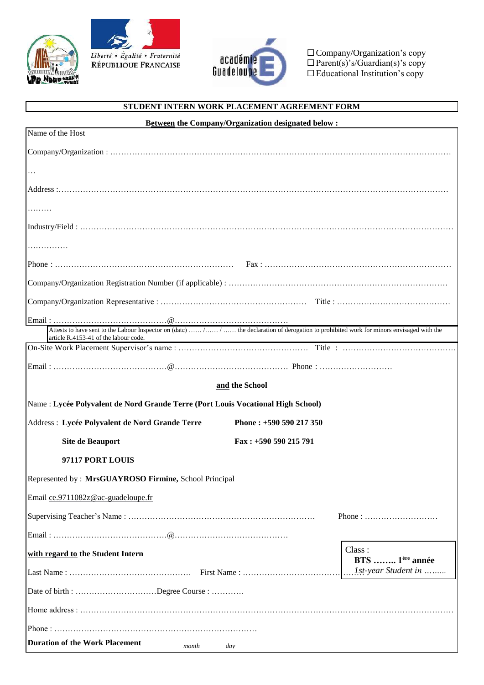





□ Company/Organization's copy  $\Box$  Parent(s)'s/Guardian(s) *<u>I</u> Educational Institution's only* ☐Parent(s)'s/Guardian(s)'s copy ☐Educational Institution's copy

## **STUDENT INTERN WORK PLACEMENT AGREEMENT FORM**

| <b>Between</b> the Company/Organization designated below :                                                                                                                            |  |  |
|---------------------------------------------------------------------------------------------------------------------------------------------------------------------------------------|--|--|
| Name of the Host                                                                                                                                                                      |  |  |
|                                                                                                                                                                                       |  |  |
| $\ldots$                                                                                                                                                                              |  |  |
|                                                                                                                                                                                       |  |  |
| .                                                                                                                                                                                     |  |  |
|                                                                                                                                                                                       |  |  |
|                                                                                                                                                                                       |  |  |
|                                                                                                                                                                                       |  |  |
|                                                                                                                                                                                       |  |  |
|                                                                                                                                                                                       |  |  |
|                                                                                                                                                                                       |  |  |
| Attests to have sent to the Labour Inspector on (date)  /  /  the declaration of derogation to prohibited work for minors envisaged with the<br>article R.4153-41 of the labour code. |  |  |
|                                                                                                                                                                                       |  |  |
|                                                                                                                                                                                       |  |  |
| and the School                                                                                                                                                                        |  |  |
| Name : Lycée Polyvalent de Nord Grande Terre (Port Louis Vocational High School)                                                                                                      |  |  |
| Address : Lycée Polyvalent de Nord Grande Terre<br>Phone: +590 590 217 350                                                                                                            |  |  |
| <b>Site de Beauport</b><br>Fax: +590 590 215 791                                                                                                                                      |  |  |
| 97117 PORT LOUIS                                                                                                                                                                      |  |  |
| Represented by: MrsGUAYROSO Firmine, School Principal                                                                                                                                 |  |  |
| Email ce.9711082z@ac-guadeloupe.fr                                                                                                                                                    |  |  |
| Phone: $\dots\dots\dots\dots\dots\dots\dots\dots\dots\dots$                                                                                                                           |  |  |
|                                                                                                                                                                                       |  |  |
| Class:<br>with regard to the Student Intern<br>BTS  1 <sup>ère</sup> année                                                                                                            |  |  |
| 1st-year Student in                                                                                                                                                                   |  |  |
| Date of birth : Degree Course :                                                                                                                                                       |  |  |
|                                                                                                                                                                                       |  |  |
|                                                                                                                                                                                       |  |  |
| <b>Duration of the Work Placement</b><br>month<br>dav                                                                                                                                 |  |  |
|                                                                                                                                                                                       |  |  |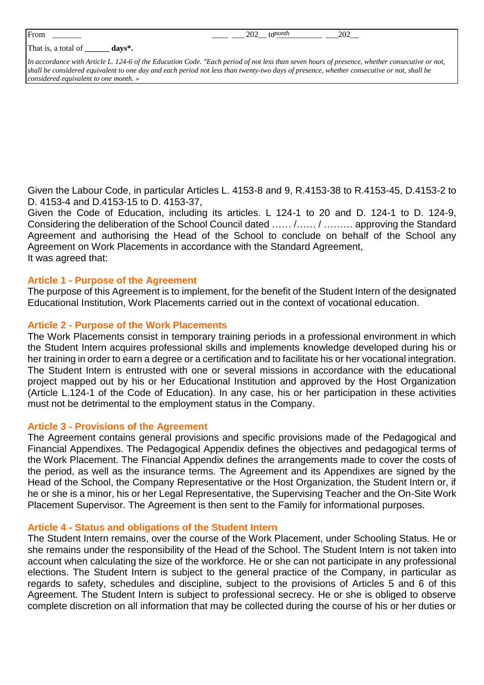| From | ______<br>__ | ______ | $\mathcal{D} \cap \mathcal{D}$<br>---<br>__ | vоn.<br>w<br>___ | $\Delta \Omega$<br>---<br>___<br>___<br>$-$ |  |
|------|--------------|--------|---------------------------------------------|------------------|---------------------------------------------|--|
|      |              |        |                                             |                  |                                             |  |

That is, a total of **\_\_\_\_\_\_ days\*.**

*In accordance with Article L. 124-6 of the Education Code. "Each period of not less than seven hours of presence, whether consecutive or not, shall be considered equivalent to one day and each period not less than twenty-two days of presence, whether consecutive or not, shall be considered equivalent to one month. »*

Given the Labour Code, in particular Articles L. 4153-8 and 9, R.4153-38 to R.4153-45, D.4153-2 to D. 4153-4 and D.4153-15 to D. 4153-37,

Given the Code of Education, including its articles. L 124-1 to 20 and D. 124-1 to D. 124-9, Considering the deliberation of the School Council dated …… /…… / ……… approving the Standard Agreement and authorising the Head of the School to conclude on behalf of the School any Agreement on Work Placements in accordance with the Standard Agreement, It was agreed that:

#### **Article 1 - Purpose of the Agreement**

The purpose of this Agreement is to implement, for the benefit of the Student Intern of the designated Educational Institution, Work Placements carried out in the context of vocational education.

### **Article 2 - Purpose of the Work Placements**

The Work Placements consist in temporary training periods in a professional environment in which the Student Intern acquires professional skills and implements knowledge developed during his or her training in order to earn a degree or a certification and to facilitate his or her vocational integration. The Student Intern is entrusted with one or several missions in accordance with the educational project mapped out by his or her Educational Institution and approved by the Host Organization (Article L.124-1 of the Code of Education). In any case, his or her participation in these activities must not be detrimental to the employment status in the Company.

#### **Article 3 - Provisions of the Agreement**

The Agreement contains general provisions and specific provisions made of the Pedagogical and Financial Appendixes. The Pedagogical Appendix defines the objectives and pedagogical terms of the Work Placement. The Financial Appendix defines the arrangements made to cover the costs of the period, as well as the insurance terms. The Agreement and its Appendixes are signed by the Head of the School, the Company Representative or the Host Organization, the Student Intern or, if he or she is a minor, his or her Legal Representative, the Supervising Teacher and the On-Site Work Placement Supervisor. The Agreement is then sent to the Family for informational purposes.

#### **Article 4 - Status and obligations of the Student Intern**

The Student Intern remains, over the course of the Work Placement, under Schooling Status. He or she remains under the responsibility of the Head of the School. The Student Intern is not taken into account when calculating the size of the workforce. He or she can not participate in any professional elections. The Student Intern is subject to the general practice of the Company, in particular as regards to safety, schedules and discipline, subject to the provisions of Articles 5 and 6 of this Agreement. The Student Intern is subject to professional secrecy. He or she is obliged to observe complete discretion on all information that may be collected during the course of his or her duties or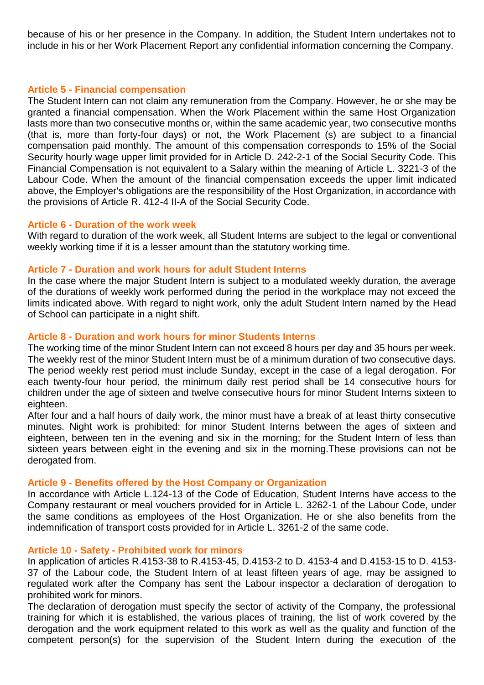because of his or her presence in the Company. In addition, the Student Intern undertakes not to include in his or her Work Placement Report any confidential information concerning the Company.

### **Article 5 - Financial compensation**

The Student Intern can not claim any remuneration from the Company. However, he or she may be granted a financial compensation. When the Work Placement within the same Host Organization lasts more than two consecutive months or, within the same academic year, two consecutive months (that is, more than forty-four days) or not, the Work Placement (s) are subject to a financial compensation paid monthly. The amount of this compensation corresponds to 15% of the Social Security hourly wage upper limit provided for in Article D. 242-2-1 of the Social Security Code. This Financial Compensation is not equivalent to a Salary within the meaning of Article L. 3221-3 of the Labour Code. When the amount of the financial compensation exceeds the upper limit indicated above, the Employer's obligations are the responsibility of the Host Organization, in accordance with the provisions of Article R. 412-4 II-A of the Social Security Code.

### **Article 6 - Duration of the work week**

With regard to duration of the work week, all Student Interns are subject to the legal or conventional weekly working time if it is a lesser amount than the statutory working time.

### **Article 7 - Duration and work hours for adult Student Interns**

In the case where the major Student Intern is subject to a modulated weekly duration, the average of the durations of weekly work performed during the period in the workplace may not exceed the limits indicated above. With regard to night work, only the adult Student Intern named by the Head of School can participate in a night shift.

# **Article 8 - Duration and work hours for minor Students Interns**

The working time of the minor Student Intern can not exceed 8 hours per day and 35 hours per week. The weekly rest of the minor Student Intern must be of a minimum duration of two consecutive days. The period weekly rest period must include Sunday, except in the case of a legal derogation. For each twenty-four hour period, the minimum daily rest period shall be 14 consecutive hours for children under the age of sixteen and twelve consecutive hours for minor Student Interns sixteen to eighteen.

After four and a half hours of daily work, the minor must have a break of at least thirty consecutive minutes. Night work is prohibited: for minor Student Interns between the ages of sixteen and eighteen, between ten in the evening and six in the morning; for the Student Intern of less than sixteen years between eight in the evening and six in the morning.These provisions can not be derogated from.

#### **Article 9 - Benefits offered by the Host Company or Organization**

In accordance with Article L.124-13 of the Code of Education, Student Interns have access to the Company restaurant or meal vouchers provided for in Article L. 3262-1 of the Labour Code, under the same conditions as employees of the Host Organization. He or she also benefits from the indemnification of transport costs provided for in Article L. 3261-2 of the same code.

#### **Article 10 - Safety - Prohibited work for minors**

In application of articles R.4153-38 to R.4153-45, D.4153-2 to D. 4153-4 and D.4153-15 to D. 4153- 37 of the Labour code, the Student Intern of at least fifteen years of age, may be assigned to regulated work after the Company has sent the Labour inspector a declaration of derogation to prohibited work for minors.

The declaration of derogation must specify the sector of activity of the Company, the professional training for which it is established, the various places of training, the list of work covered by the derogation and the work equipment related to this work as well as the quality and function of the competent person(s) for the supervision of the Student Intern during the execution of the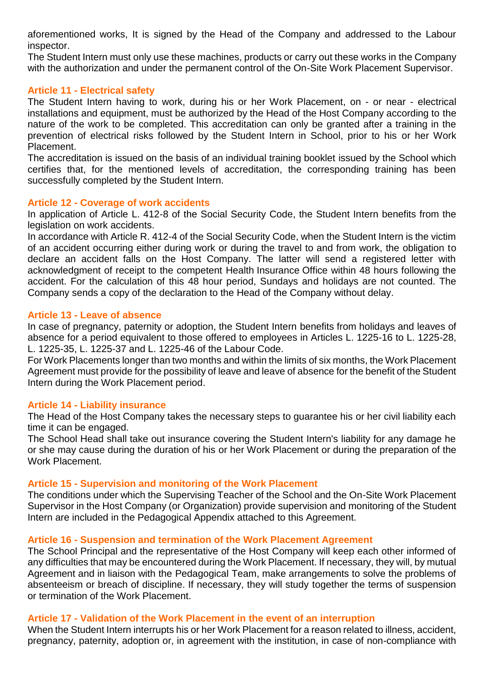aforementioned works, It is signed by the Head of the Company and addressed to the Labour inspector.

The Student Intern must only use these machines, products or carry out these works in the Company with the authorization and under the permanent control of the On-Site Work Placement Supervisor.

### **Article 11 - Electrical safety**

The Student Intern having to work, during his or her Work Placement, on - or near - electrical installations and equipment, must be authorized by the Head of the Host Company according to the nature of the work to be completed. This accreditation can only be granted after a training in the prevention of electrical risks followed by the Student Intern in School, prior to his or her Work Placement.

The accreditation is issued on the basis of an individual training booklet issued by the School which certifies that, for the mentioned levels of accreditation, the corresponding training has been successfully completed by the Student Intern.

### **Article 12 - Coverage of work accidents**

In application of Article L. 412-8 of the Social Security Code, the Student Intern benefits from the legislation on work accidents.

In accordance with Article R. 412-4 of the Social Security Code, when the Student Intern is the victim of an accident occurring either during work or during the travel to and from work, the obligation to declare an accident falls on the Host Company. The latter will send a registered letter with acknowledgment of receipt to the competent Health Insurance Office within 48 hours following the accident. For the calculation of this 48 hour period, Sundays and holidays are not counted. The Company sends a copy of the declaration to the Head of the Company without delay.

### **Article 13 - Leave of absence**

In case of pregnancy, paternity or adoption, the Student Intern benefits from holidays and leaves of absence for a period equivalent to those offered to employees in Articles L. 1225-16 to L. 1225-28, L. 1225-35, L. 1225-37 and L. 1225-46 of the Labour Code.

For Work Placements longer than two months and within the limits of six months, the Work Placement Agreement must provide for the possibility of leave and leave of absence for the benefit of the Student Intern during the Work Placement period.

#### **Article 14 - Liability insurance**

The Head of the Host Company takes the necessary steps to guarantee his or her civil liability each time it can be engaged.

The School Head shall take out insurance covering the Student Intern's liability for any damage he or she may cause during the duration of his or her Work Placement or during the preparation of the Work Placement.

#### **Article 15 - Supervision and monitoring of the Work Placement**

The conditions under which the Supervising Teacher of the School and the On-Site Work Placement Supervisor in the Host Company (or Organization) provide supervision and monitoring of the Student Intern are included in the Pedagogical Appendix attached to this Agreement.

#### **Article 16 - Suspension and termination of the Work Placement Agreement**

The School Principal and the representative of the Host Company will keep each other informed of any difficulties that may be encountered during the Work Placement. If necessary, they will, by mutual Agreement and in liaison with the Pedagogical Team, make arrangements to solve the problems of absenteeism or breach of discipline. If necessary, they will study together the terms of suspension or termination of the Work Placement.

#### **Article 17 - Validation of the Work Placement in the event of an interruption**

When the Student Intern interrupts his or her Work Placement for a reason related to illness, accident, pregnancy, paternity, adoption or, in agreement with the institution, in case of non-compliance with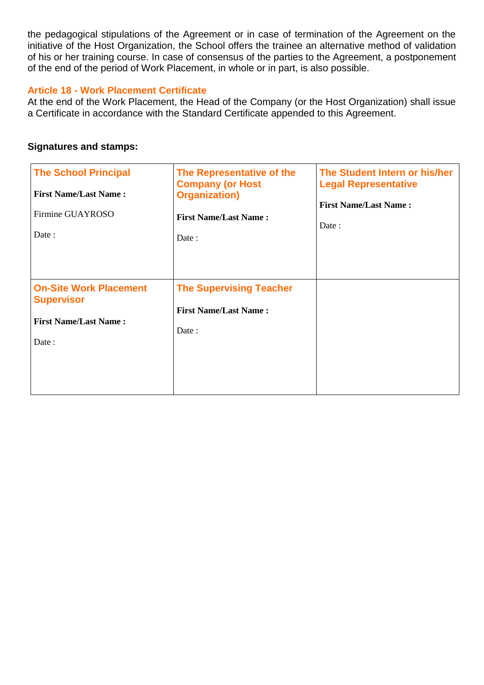the pedagogical stipulations of the Agreement or in case of termination of the Agreement on the initiative of the Host Organization, the School offers the trainee an alternative method of validation of his or her training course. In case of consensus of the parties to the Agreement, a postponement of the end of the period of Work Placement, in whole or in part, is also possible.

### **Article 18 - Work Placement Certificate**

At the end of the Work Placement, the Head of the Company (or the Host Organization) shall issue a Certificate in accordance with the Standard Certificate appended to this Agreement.

## **Signatures and stamps:**

| <b>The School Principal</b><br><b>First Name/Last Name:</b><br>Firmine GUAYROSO<br>Date:    | The Representative of the<br><b>Company (or Host</b><br><b>Organization</b> )<br><b>First Name/Last Name:</b><br>Date: | The Student Intern or his/her<br><b>Legal Representative</b><br><b>First Name/Last Name:</b><br>Date: |
|---------------------------------------------------------------------------------------------|------------------------------------------------------------------------------------------------------------------------|-------------------------------------------------------------------------------------------------------|
| <b>On-Site Work Placement</b><br><b>Supervisor</b><br><b>First Name/Last Name:</b><br>Date: | <b>The Supervising Teacher</b><br><b>First Name/Last Name:</b><br>Date:                                                |                                                                                                       |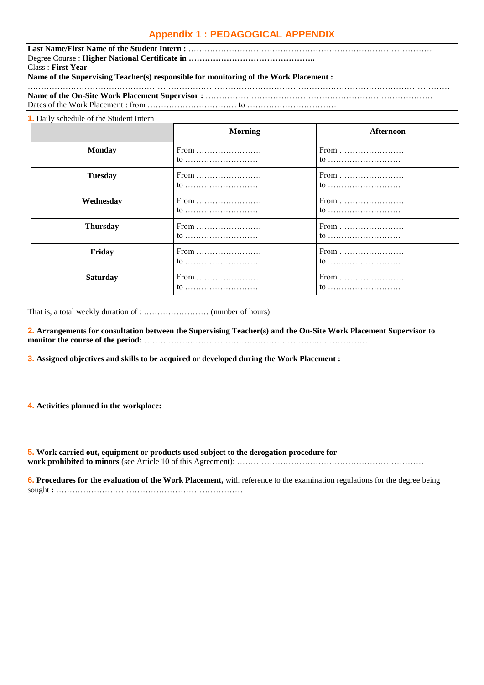# **Appendix 1 : PEDAGOGICAL APPENDIX**

| <b>Class: First Year</b>                                                              |  |  |  |  |
|---------------------------------------------------------------------------------------|--|--|--|--|
| Name of the Supervising Teacher(s) responsible for monitoring of the Work Placement : |  |  |  |  |
|                                                                                       |  |  |  |  |
|                                                                                       |  |  |  |  |

#### **1.** Daily schedule of the Student Intern

|                 | <b>Morning</b> | Afternoon      |
|-----------------|----------------|----------------|
| <b>Monday</b>   | From<br>to     | From<br>to     |
| <b>Tuesday</b>  | From           | From<br>$\tau$ |
| Wednesday       | From<br>to     | From<br>to     |
| <b>Thursday</b> | From<br>to     | From<br>to     |
| Friday          | From<br>to     | From<br>to     |
| <b>Saturday</b> | From           | From<br>$\tau$ |

That is, a total weekly duration of : …………………… (number of hours)

**2. Arrangements for consultation between the Supervising Teacher(s) and the On-Site Work Placement Supervisor to monitor the course of the period:** ………………………………………………………..………………

**3. Assigned objectives and skills to be acquired or developed during the Work Placement :**

**4. Activities planned in the workplace:**

**5. Work carried out, equipment or products used subject to the derogation procedure for work prohibited to minors** (see Article 10 of this Agreement): ……………………………………………………………

**6. Procedures for the evaluation of the Work Placement,** with reference to the examination regulations for the degree being sought **:** ……………………………………………………………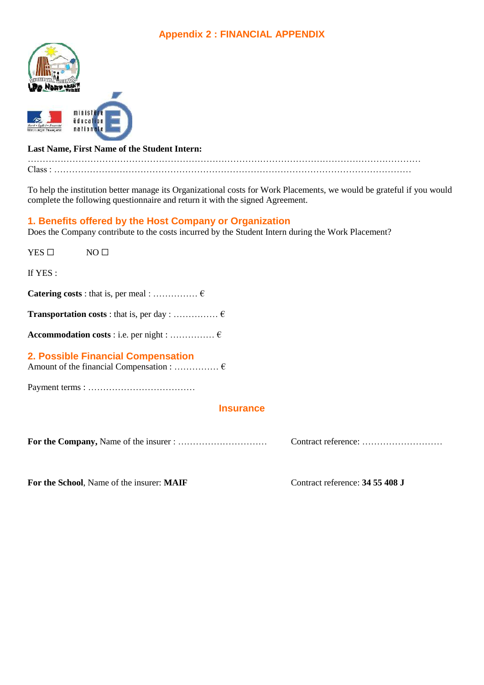# **Appendix 2 : FINANCIAL APPENDIX**



#### **Last Name, First Name of the Student Intern:**

…………………………………………………………………………………………………………………… Class : …………………………………………………………………………………………………………

To help the institution better manage its Organizational costs for Work Placements, we would be grateful if you would complete the following questionnaire and return it with the signed Agreement.

### **1. Benefits offered by the Host Company or Organization**

Does the Company contribute to the costs incurred by the Student Intern during the Work Placement?

| $YES$ $\square$ | NO <sub>1</sub>                           |                                 |
|-----------------|-------------------------------------------|---------------------------------|
| If YES:         |                                           |                                 |
|                 |                                           |                                 |
|                 |                                           |                                 |
|                 |                                           |                                 |
|                 | 2. Possible Financial Compensation        |                                 |
|                 |                                           |                                 |
|                 | <b>Insurance</b>                          |                                 |
|                 |                                           |                                 |
|                 | For the School, Name of the insurer: MAIF | Contract reference: 34 55 408 J |